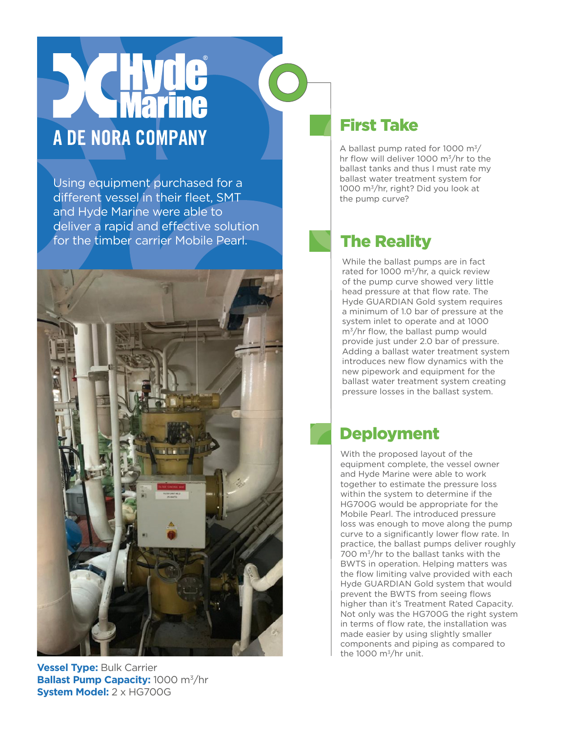# A DE NORA COMPANY

Using equipment purchased for a different vessel in their fleet, SMT and Hyde Marine were able to deliver a rapid and effective solution for the timber carrier Mobile Pearl.



### **Vessel Type:** Bulk Carrier **Ballast Pump Capacity:** 1000 m<sup>3</sup>/hr **System Model:** 2 x HG700G

## First Take

A ballast pump rated for 1000  $\mathrm{m}^3$ / hr flow will deliver 1000 m3/hr to the ballast tanks and thus I must rate my ballast water treatment system for 1000 m3/hr, right? Did you look at the pump curve?

# The Reality

While the ballast pumps are in fact rated for 1000  $\text{m}^3/\text{hr}$ , a quick review of the pump curve showed very little head pressure at that flow rate. The Hyde GUARDIAN Gold system requires a minimum of 1.0 bar of pressure at the system inlet to operate and at 1000  $m^3$ /hr flow, the ballast pump would provide just under 2.0 bar of pressure. Adding a ballast water treatment system introduces new flow dynamics with the new pipework and equipment for the ballast water treatment system creating pressure losses in the ballast system.

## Deployment

With the proposed layout of the equipment complete, the vessel owner and Hyde Marine were able to work together to estimate the pressure loss within the system to determine if the HG700G would be appropriate for the Mobile Pearl. The introduced pressure loss was enough to move along the pump curve to a significantly lower flow rate. In practice, the ballast pumps deliver roughly 700 m3/hr to the ballast tanks with the BWTS in operation. Helping matters was the flow limiting valve provided with each Hyde GUARDIAN Gold system that would prevent the BWTS from seeing flows higher than it's Treatment Rated Capacity. Not only was the HG700G the right system in terms of flow rate, the installation was made easier by using slightly smaller components and piping as compared to the 1000  $\mathrm{m}^3/\mathrm{hr}$  unit.